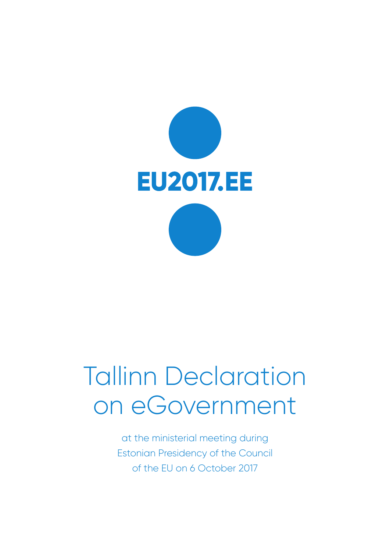

# Tallinn Declaration on eGovernment

at the ministerial meeting during Estonian Presidency of the Council of the EU on 6 October 2017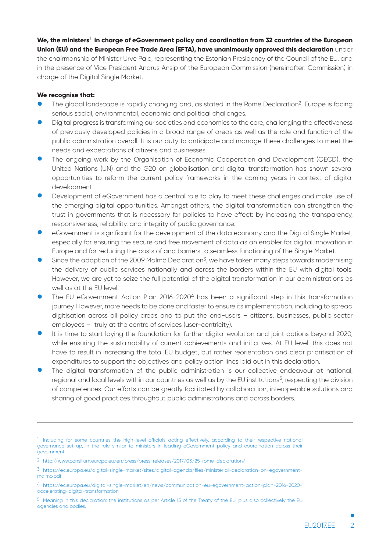## **We, the ministers**<sup>1</sup>  **in charge of eGovernment policy and coordination from 32 countries of the European Union (EU) and the European Free Trade Area (EFTA), have unanimously approved this declaration** under

the chairmanship of Minister Urve Palo, representing the Estonian Presidency of the Council of the EU, and in the presence of Vice President Andrus Ansip of the European Commission (hereinafter: Commission) in charge of the Digital Single Market.

#### **We recognise that:**

- The global landscape is rapidly changing and, as stated in the Rome Declaration<sup>2</sup>, Europe is facing serious social, environmental, economic and political challenges.
- Digital progress is transforming our societies and economies to the core, challenging the effectiveness of previously developed policies in a broad range of areas as well as the role and function of the public administration overall. It is our duty to anticipate and manage these challenges to meet the needs and expectations of citizens and businesses.
- The ongoing work by the Organisation of Economic Cooperation and Development (OECD), the United Nations (UN) and the G20 on globalisation and digital transformation has shown several opportunities to reform the current policy frameworks in the coming years in context of digital development.
- Development of eGovernment has a central role to play to meet these challenges and make use of the emerging digital opportunities. Amongst others, the digital transformation can strengthen the trust in governments that is necessary for policies to have efect: by increasing the transparency, responsiveness, reliability, and integrity of public governance.
- eGovernment is significant for the development of the data economy and the Digital Single Market, especially for ensuring the secure and free movement of data as an enabler for digital innovation in Europe and for reducing the costs of and barriers to seamless functioning of the Single Market.
- Since the adoption of the 2009 Malmö Declaration<sup>3</sup>, we have taken many steps towards modernising the delivery of public services nationally and across the borders within the EU with digital tools. However, we are yet to seize the full potential of the digital transformation in our administrations as well as at the EU level.
- The EU eGovernment Action Plan 2016-2020<sup>4</sup> has been a significant step in this transformation journey. However, more needs to be done and faster to ensure its implementation, including to spread digitisation across all policy areas and to put the end-users – citizens, businesses, public sector employees – truly at the centre of services (user-centricity).
- It is time to start laying the foundation for further digital evolution and joint actions beyond 2020, while ensuring the sustainability of current achievements and initiatives. At EU level, this does not have to result in increasing the total EU budget, but rather reorientation and clear prioritisation of expenditures to support the objectives and policy action lines laid out in this declaration.
- The digital transformation of the public administration is our collective endeavour at national, regional and local levels within our countries as well as by the EU institutions<sup>5</sup>, respecting the division of competences. Our eforts can be greatly facilitated by collaboration, interoperable solutions and sharing of good practices throughout public administrations and across borders.

 $1$  Including for some countries the high-level officials acting effectively, according to their respective national governance set-up, in the role similar to ministers in leading eGovernment policy and coordination across their government.

<sup>2</sup> http://www.consilium.europa.eu/en/press/press-releases/2017/03/25-rome-declaration/

<sup>3</sup> https://ec.europa.eu/digital-single-market/sites/digital-agenda/files/ministerial-declaration-on-egovernmentmalmo.pdf

<sup>4</sup> https://ec.europa.eu/digital-single-market/en/news/communication-eu-egovernment-action-plan-2016-2020 accelerating-digital-transformation

<sup>5</sup> Meaning in this declaration: the institutions as per Article 13 of the Treaty of the EU, plus also collectively the EU agencies and bodies.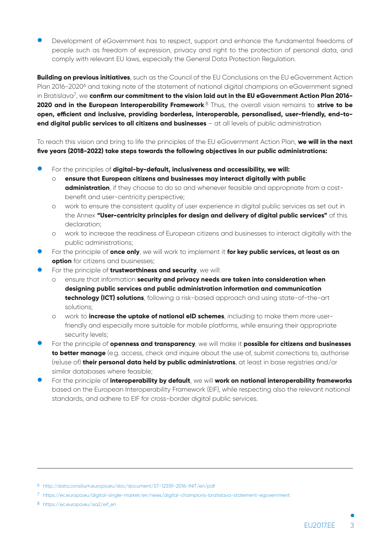Development of eGovernment has to respect, support and enhance the fundamental freedoms of people such as freedom of expression, privacy and right to the protection of personal data, and comply with relevant EU laws, especially the General Data Protection Regulation.

**Building on previous initiatives**, such as the Council of the EU Conclusions on the EU eGovernment Action Plan 2016-2020<sup>6</sup> and taking note of the statement of national digital champions on eGovernment signed in Bratislava7, we **confirm our commitment to the vision laid out in the EU eGovernment Action Plan 2016- 2020 and in the European Interoperability Framework**. 8 Thus, the overall vision remains to **strive to be open, efcient and inclusive, providing borderless, interoperable, personalised, user-friendly, end-toend digital public services to all citizens and businesses** – at all levels of public administration.

To reach this vision and bring to life the principles of the EU eGovernment Action Plan, **we will in the next five years (2018-2022) take steps towards the following objectives in our public administrations:**

- For the principles of **digital-by-default, inclusiveness and accessibility, we will:**<br>O **ensure that European citizens and businesses may interact digitally with portally** 
	- o **ensure that European citizens and businesses may interact digitally with public administration**, if they choose to do so and whenever feasible and appropriate from a costbenefit and user-centricity perspective;
	- o work to ensure the consistent quality of user experience in digital public services as set out in the Annex **"User-centricity principles for design and delivery of digital public services"** of this declaration;
	- o work to increase the readiness of European citizens and businesses to interact digitally with the public administrations;
- For the principle of **once only**, we will work to implement it **for key public services, at least as an option** for citizens and businesses;
- For the principle of **trustworthiness and security**, we will:
	- ensure that information **security and privacy needs are taken into consideration when designing public services and public administration information and communication technology (ICT) solutions**, following a risk-based approach and using state-of-the-art solutions;
	- o work to **increase the uptake of national eID schemes**, including to make them more userfriendly and especially more suitable for mobile platforms, while ensuring their appropriate security levels;
- **Ʃ** For the principle of **openness and transparency**, we will make it **possible for citizens and businesses to better manage** (e.g. access, check and inquire about the use of, submit corrections to, authorise (re)use of) **their personal data held by public administrations**, at least in base registries and/or similar databases where feasible;
- **Ʃ** For the principle of **interoperability by default**, we will **work on national interoperability frameworks** based on the European Interoperability Framework (EIF), while respecting also the relevant national standards, and adhere to EIF for cross-border digital public services.

<sup>6</sup> http://data.consilium.europa.eu/doc/document/ST-12359-2016-INIT/en/pdf

<sup>7</sup> https://ec.europa.eu/digital-single-market/en/news/digital-champions-bratislava-statement-egovernment

<sup>8</sup> https://ec.europa.eu/isa2/eif\_en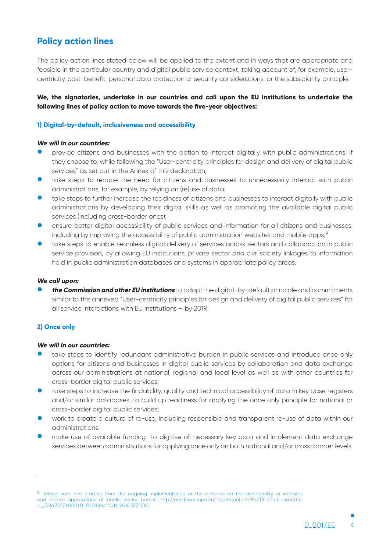# **Policy action lines**

The policy action lines stated below will be applied to the extent and in ways that are appropriate and feasible in the particular country and digital public service context, taking account of, for example, usercentricity, cost-benefit, personal data protection or security considerations, or the subsidiarity principle.

## **We, the signatories, undertake in our countries and call upon the EU institutions to undertake the following lines of policy action to move towards the five-year objectives:**

#### **1) Digital-by-default, inclusiveness and accessibility**

#### **We will in our countries:**

- $\bullet$  provide citizens and businesses with the option to interact digitally with public administrations, if they choose to, while following the "User-centricity principles for design and delivery of digital public services" as set out in the Annex of this declaration;
- take steps to reduce the need for citizens and businesses to unnecessarily interact with public administrations, for example, by relying on (re)use of data;
- take steps to further increase the readiness of citizens and businesses to interact digitally with public administrations by developing their digital skills as well as promoting the available digital public services (including cross-border ones);
- ensure better digital accessibility of public services and information for all citizens and businesses, including by improving the accessibility of public administration websites and mobile apps;<sup>9</sup>
- take steps to enable seamless digital delivery of services across sectors and collaboration in public service provision, by allowing EU institutions, private sector and civil society linkages to information held in public administration databases and systems in appropriate policy areas.

#### **We call upon:**

**the Commission and other EU institutions** to adopt the digital-by-default principle and commitments similar to the annexed "User-centricity principles for design and delivery of digital public services" for all service interactions with EU institutions – by 2019.

#### **2) Once only**

#### **We will in our countries:**

- take steps to identify redundant administrative burden in public services and introduce once only options for citizens and businesses in digital public services by collaboration and data exchange across our administrations at national, regional and local level as well as with other countries for cross-border digital public services;
- take steps to increase the findability, quality and technical accessibility of data in key base registers and/or similar databases, to build up readiness for applying the once only principle for national or cross-border digital public services;
- work to create a culture of re-use, including responsible and transparent re-use of data within our administrations;
- make use of available funding to digitise all necessary key data and implement data exchange services between administrations for applying once only on both national and/or cross-border levels.

<sup>9</sup> Taking note and starting from the ongoing implementation of the directive on the accessibility of websites and mobile applications of public sector bodies http://eur-lex.europa.eu/legal-content/EN/TXT/?uri=uriserv:OJ .L\_.2016.327.01.0001.01.ENG&toc=OJ:L:2016:327:TOC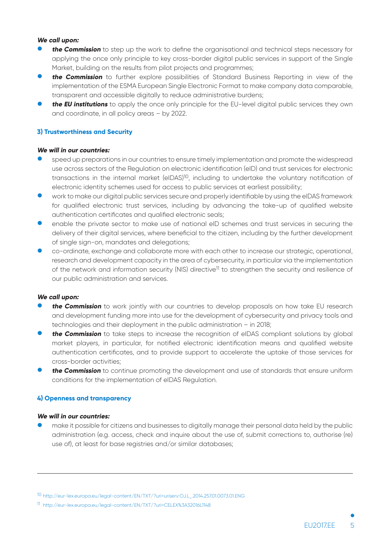#### **We call upon:**

- **the Commission** to step up the work to define the organisational and technical steps necessary for applying the once only principle to key cross-border digital public services in support of the Single Market, building on the results from pilot projects and programmes;
- **the Commission** to further explore possibilities of Standard Business Reporting in view of the implementation of the ESMA European Single Electronic Format to make company data comparable, transparent and accessible digitally to reduce administrative burdens;
- **the EU institutions** to apply the once only principle for the EU-level digital public services they own and coordinate, in all policy areas – by 2022.

#### **3) Trustworthiness and Security**

#### **We will in our countries:**

- speed up preparations in our countries to ensure timely implementation and promote the widespread use across sectors of the Regulation on electronic identification (eID) and trust services for electronic transactions in the internal market (eIDAS)10, including to undertake the voluntary notification of electronic identity schemes used for access to public services at earliest possibility;
- work to make our digital public services secure and properly identifiable by using the eIDAS framework for qualified electronic trust services, including by advancing the take-up of qualified website authentication certificates and qualified electronic seals;
- enable the private sector to make use of national eID schemes and trust services in securing the delivery of their digital services, where beneficial to the citizen, including by the further development of single sign-on, mandates and delegations;
- co-ordinate, exchange and collaborate more with each other to increase our strategic, operational, research and development capacity in the area of cybersecurity, in particular via the implementation of the network and information security (NIS) directive<sup>11</sup> to strengthen the security and resilience of our public administration and services.

#### **We call upon:**

- **the Commission** to work jointly with our countries to develop proposals on how take EU research and development funding more into use for the development of cybersecurity and privacy tools and technologies and their deployment in the public administration – in 2018;
- **the Commission** to take steps to increase the recognition of eIDAS compliant solutions by global market players, in particular, for notified electronic identification means and qualified website authentication certificates, and to provide support to accelerate the uptake of those services for cross-border activities;
- **the Commission** to continue promoting the development and use of standards that ensure uniform conditions for the implementation of eIDAS Regulation.

#### **4) Openness and transparency**

#### **We will in our countries:**

make it possible for citizens and businesses to digitally manage their personal data held by the public administration (e.g. access, check and inquire about the use of, submit corrections to, authorise (re) use of), at least for base registries and/or similar databases;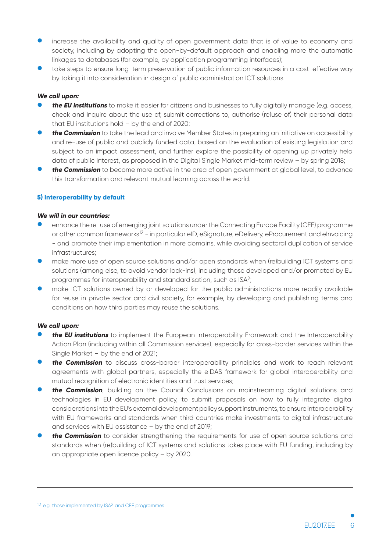- increase the availability and quality of open government data that is of value to economy and society, including by adopting the open-by-default approach and enabling more the automatic linkages to databases (for example, by application programming interfaces);
- take steps to ensure long-term preservation of public information resources in a cost-effective way by taking it into consideration in design of public administration ICT solutions.

#### **We call upon:**

- **the EU institutions** to make it easier for citizens and businesses to fully digitally manage (e.g. access, check and inquire about the use of, submit corrections to, authorise (re)use of) their personal data that EU institutions hold – by the end of 2020;
- **the Commission** to take the lead and involve Member States in preparing an initiative on accessibility and re-use of public and publicly funded data, based on the evaluation of existing legislation and subject to an impact assessment, and further explore the possibility of opening up privately held data of public interest, as proposed in the Digital Single Market mid-term review – by spring 2018;
- **the Commission** to become more active in the area of open government at global level, to advance this transformation and relevant mutual learning across the world.

#### **5) Interoperability by default**

#### **We will in our countries:**

- enhance the re-use of emerging joint solutions under the Connecting Europe Facility (CEF) programme or other common frameworks12 - in particular eID, eSignature, eDelivery, eProcurement and eInvoicing - and promote their implementation in more domains, while avoiding sectoral duplication of service infrastructures;
- make more use of open source solutions and/or open standards when (re)building ICT systems and solutions (among else, to avoid vendor lock-ins), including those developed and/or promoted by EU programmes for interoperability and standardisation, such as ISA2;
- make ICT solutions owned by or developed for the public administrations more readily available for reuse in private sector and civil society, for example, by developing and publishing terms and conditions on how third parties may reuse the solutions.

#### **We call upon:**

- **the EU institutions** to implement the European Interoperability Framework and the Interoperability Action Plan (including within all Commission services), especially for cross-border services within the Single Market – by the end of 2021;
- **the Commission** to discuss cross-border interoperability principles and work to reach relevant agreements with global partners, especially the eIDAS framework for global interoperability and mutual recognition of electronic identities and trust services;
- **the Commission**, building on the Council Conclusions on mainstreaming digital solutions and technologies in EU development policy, to submit proposals on how to fully integrate digital considerations into the EU's external development policy support instruments, to ensure interoperability with EU frameworks and standards when third countries make investments to digital infrastructure and services with EU assistance – by the end of 2019;
- **the Commission** to consider strengthening the requirements for use of open source solutions and standards when (re)building of ICT systems and solutions takes place with EU funding, including by an appropriate open licence policy – by 2020.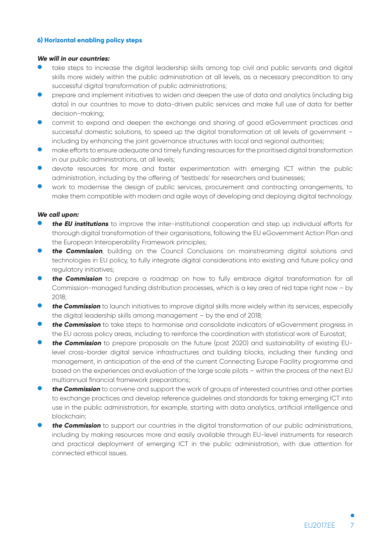## **6) Horizontal enabling policy steps**

#### **We will in our countries:**

- take steps to increase the digital leadership skills among top civil and public servants and digital skills more widely within the public administration at all levels, as a necessary precondition to any successful digital transformation of public administrations;
- prepare and implement initiatives to widen and deepen the use of data and analytics (including big data) in our countries to move to data-driven public services and make full use of data for better decision-making;
- commit to expand and deepen the exchange and sharing of good eGovernment practices and successful domestic solutions, to speed up the digital transformation at all levels of government – including by enhancing the joint governance structures with local and regional authorities;
- make efforts to ensure adequate and timely funding resources for the prioritised digital transformation in our public administrations, at all levels;
- devote resources for more and faster experimentation with emerging ICT within the public administration, including by the ofering of 'testbeds' for researchers and businesses;
- work to modernise the design of public services, procurement and contracting arrangements, to make them compatible with modern and agile ways of developing and deploying digital technology.

#### **We call upon:**

- **the EU institutions** to improve the inter-institutional cooperation and step up individual efforts for thorough digital transformation of their organisations, following the EU eGovernment Action Plan and the European Interoperability Framework principles;
- **the Commission**, building on the Council Conclusions on mainstreaming digital solutions and technologies in EU policy, to fully integrate digital considerations into existing and future policy and regulatory initiatives;
- **the Commission** to prepare a roadmap on how to fully embrace digital transformation for all Commission-managed funding distribution processes, which is a key area of red tape right now – by 2018;
- **the Commission** to launch initiatives to improve digital skills more widely within its services, especially the digital leadership skills among management – by the end of 2018;
- **the Commission** to take steps to harmonise and consolidate indicators of eGovernment progress in the EU across policy areas, including to reinforce the coordination with statistical work of Eurostat;
- **the Commission** to prepare proposals on the future (post 2020) and sustainability of existing EUlevel cross-border digital service infrastructures and building blocks, including their funding and management, in anticipation of the end of the current Connecting Europe Facility programme and based on the experiences and evaluation of the large scale pilots – within the process of the next EU multiannual financial framework preparations;
- **the Commission** to convene and support the work of groups of interested countries and other parties to exchange practices and develop reference guidelines and standards for taking emerging ICT into use in the public administration, for example, starting with data analytics, artificial intelligence and blockchain;
- **the Commission** to support our countries in the digital transformation of our public administrations, including by making resources more and easily available through EU-level instruments for research and practical deployment of emerging ICT in the public administration, with due attention for connected ethical issues.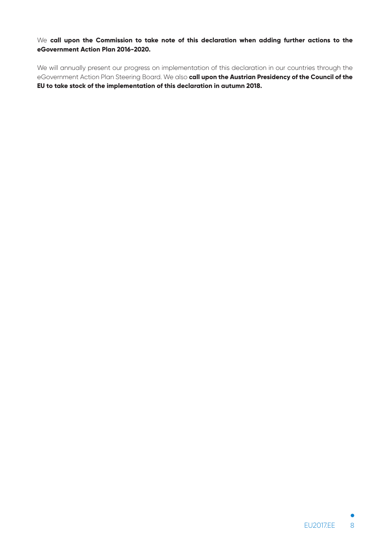We **call upon the Commission to take note of this declaration when adding further actions to the eGovernment Action Plan 2016-2020.**

We will annually present our progress on implementation of this declaration in our countries through the eGovernment Action Plan Steering Board. We also **call upon the Austrian Presidency of the Council of the EU to take stock of the implementation of this declaration in autumn 2018.**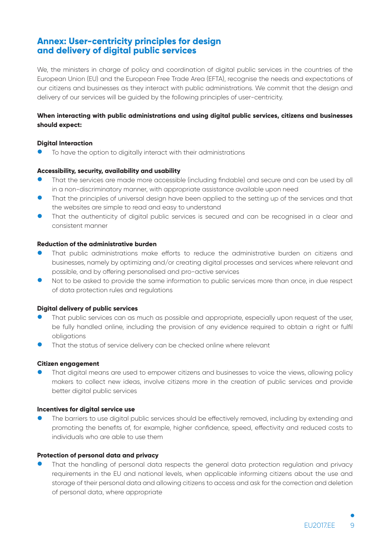# **Annex: User-centricity principles for design and delivery of digital public services**

We, the ministers in charge of policy and coordination of digital public services in the countries of the European Union (EU) and the European Free Trade Area (EFTA), recognise the needs and expectations of our citizens and businesses as they interact with public administrations. We commit that the design and delivery of our services will be guided by the following principles of user-centricity.

# **When interacting with public administrations and using digital public services, citizens and businesses should expect:**

#### **Digital Interaction**

To have the option to digitally interact with their administrations

#### **Accessibility, security, availability and usability**

- That the services are made more accessible (including findable) and secure and can be used by all in a non-discriminatory manner, with appropriate assistance available upon need
- **That the principles of universal design have been applied to the setting up of the services and that** the websites are simple to read and easy to understand
- That the authenticity of digital public services is secured and can be recognised in a clear and consistent manner

## **Reduction of the administrative burden**

- That public administrations make efforts to reduce the administrative burden on citizens and businesses, namely by optimizing and/or creating digital processes and services where relevant and possible, and by ofering personalised and pro-active services
- $\bullet$  Not to be asked to provide the same information to public services more than once, in due respect of data protection rules and regulations

#### **Digital delivery of public services**

- That public services can as much as possible and appropriate, especially upon request of the user, be fully handled online, including the provision of any evidence required to obtain a right or fulfil obligations
- That the status of service delivery can be checked online where relevant

#### **Citizen engagement**

That digital means are used to empower citizens and businesses to voice the views, allowing policy makers to collect new ideas, involve citizens more in the creation of public services and provide better digital public services

#### **Incentives for digital service use**

The barriers to use digital public services should be effectively removed, including by extending and promoting the benefits of, for example, higher confidence, speed, efectivity and reduced costs to individuals who are able to use them

#### **Protection of personal data and privacy**

That the handling of personal data respects the general data protection regulation and privacy requirements in the EU and national levels, when applicable informing citizens about the use and storage of their personal data and allowing citizens to access and ask for the correction and deletion of personal data, where appropriate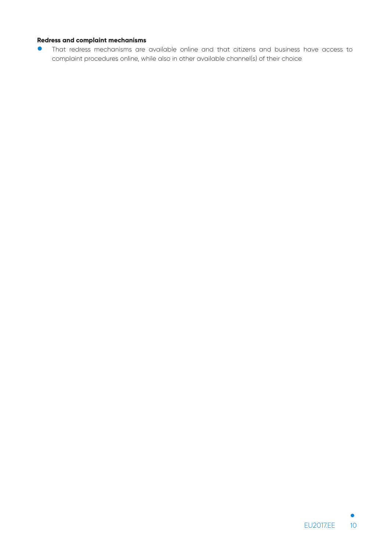# **Redress and complaint mechanisms**

 $\bullet$  That redress mechanisms are available online and that citizens and business have access to complaint procedures online, while also in other available channel(s) of their choice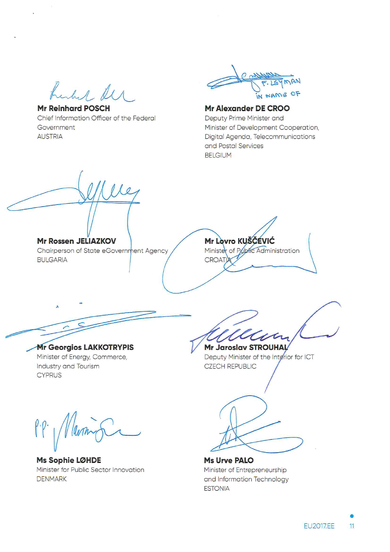hushed de

**Mr Reinhard POSCH** Chief Information Officer of the Federal Government **AUSTRIA** 



# Mr Alexander DE CROO Deputy Prime Minister and

Minister of Development Cooperation, Digital Agenda, Telecommunications and Postal Services **BELGIUM** 

 $10$ Mr Lovro KUŠČEVIĆ Mr Rossen JELIAZKOV Minister of Public Administration Chairperson of State eGovernment Agency CROAT **BULGARIA Mr Georgios LAKKOTRYPIS Mr Jaroslav STROUHAL** Minister of Energy, Commerce, Deputy Minister of the Interior for ICT **CZECH REPUBLIC** Industry and Tourism **CYPRUS**  $\int_{0}^{\infty}$ I V lavon Ms Sophie LØHDE **Ms Urve PALO** Minister for Public Sector Innovation Minister of Entrepreneurship **DENMARK** and Information Technology **ESTONIA**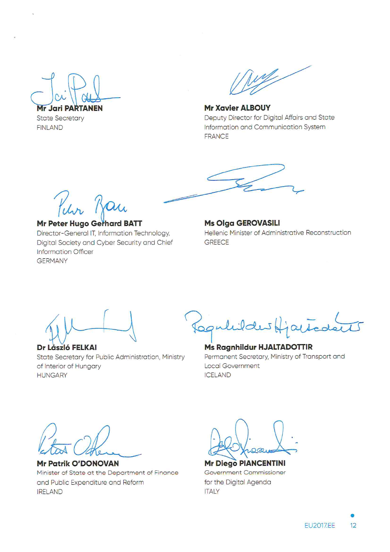**Mr Jari PARTANEN** 

**State Secretary FINLAND** 

Wy

**Mr Xavier ALBOUY** Deputy Director for Digital Affairs and State Information and Communication System **FRANCE** 

Kur Ran

# **Mr Peter Hugo Gerhard BATT**

Director-General IT, Information Technology, Digital Society and Cyber Security and Chief **Information Officer GERMANY** 

**Ms Olga GEROVASILI** Hellenic Minister of Administrative Reconstruction **GREECE** 

Dr László FELKAI State Secretary for Public Administration, Ministry of Interior of Hungary **HUNGARY** 

Reguliales Hjactedar

Ms Ragnhildur HJALTADOTTIR Permanent Secretary, Ministry of Transport and **Local Government ICELAND** 

**Mr Patrik O'DONOVAN** Minister of State at the Department of Finance and Public Expenditure and Reform **IRELAND** 

**Mr Diego PIANCENTINI** 

Government Commissioner for the Digital Agenda **ITALY**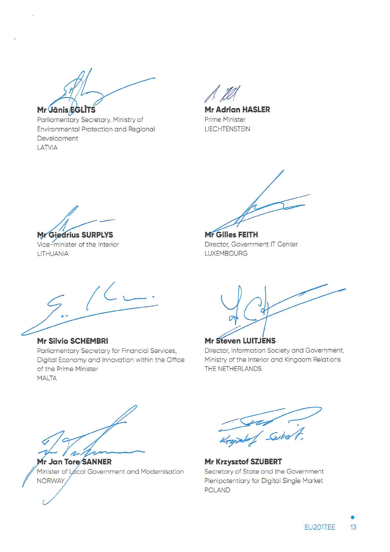Mr Jānis EGLĪTS

Parliamentary Secretary, Ministry of Environmental Protection and Regional Development LATVIA

**Mr Adrian HASLER** Prime Minister **LIECHTENSTEIN** 

Mr Giedrius SURPLYS

Vice-minister of the Interior LITHUANIA

Mr Gilles FEITH Director, Government IT Center **LUXEMBOURG** 

**Mr Silvio SCHEMBRI** Parliamentary Secretary for Financial Services, Digital Economy and Innovation within the Office of the Prime Minister **MALTA** 

**Mr Steven LUITJENS** Director, Information Society and Government, Ministry of the Interior and Kingdom Relations THE NETHERLANDS

Mr Jan Tore/SANNER Minister of Local Government and Modernisation **NORWAY** 

 $11$  Gibs

Mr Krzysztof SZUBERT Secretary of State and the Government Plenipotentiary for Digital Single Market **POLAND**